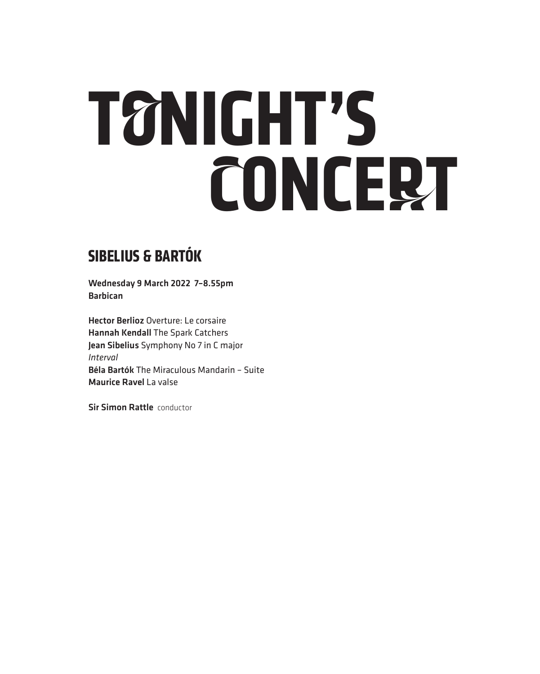# **TONIGHT'S CONCERT**

### **SIBELIUS & BARTÓK**

Wednesday 9 March 2022 7–8.55pm Barbican

Hector Berlioz Overture: Le corsaire Hannah Kendall The Spark Catchers Jean Sibelius Symphony No 7 in C major *Interval* Béla Bartók The Miraculous Mandarin – Suite Maurice Ravel La valse

Sir Simon Rattle conductor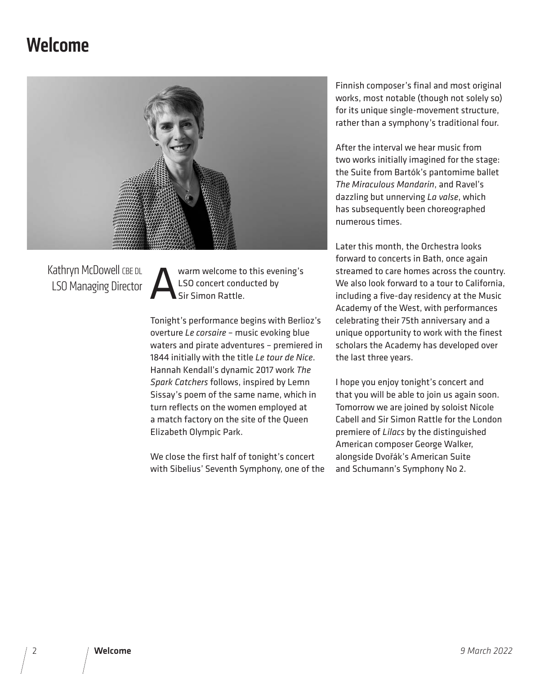### Welcome



Kathryn McDowell CBE DL LSO Managing Director

warm welcome to this evening's LSO concert conducted by Sir Simon Rattle.

Tonight's performance begins with Berlioz's overture *Le corsaire* – music evoking blue waters and pirate adventures – premiered in 1844 initially with the title *Le tour de Nice*. Hannah Kendall's dynamic 2017 work *The Spark Catchers* follows, inspired by Lemn Sissay's poem of the same name, which in turn reflects on the women employed at a match factory on the site of the Queen Elizabeth Olympic Park.

We close the first half of tonight's concert with Sibelius' Seventh Symphony, one of the

Finnish composer's final and most original works, most notable (though not solely so) for its unique single-movement structure, rather than a symphony's traditional four.

After the interval we hear music from two works initially imagined for the stage: the Suite from Bartók's pantomime ballet *The Miraculous Mandarin*, and Ravel's dazzling but unnerving *La valse*, which has subsequently been choreographed numerous times.

Later this month, the Orchestra looks forward to concerts in Bath, once again streamed to care homes across the country. We also look forward to a tour to California, including a five-day residency at the Music Academy of the West, with performances celebrating their 75th anniversary and a unique opportunity to work with the finest scholars the Academy has developed over the last three years.

I hope you enjoy tonight's concert and that you will be able to join us again soon. Tomorrow we are joined by soloist Nicole Cabell and Sir Simon Rattle for the London premiere of *Lilacs* by the distinguished American composer George Walker, alongside Dvořák's American Suite and Schumann's Symphony No 2.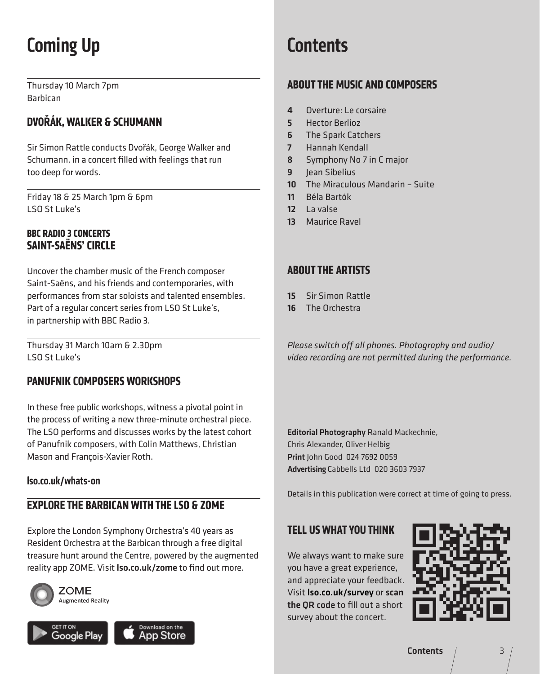# Coming Up

Thursday 10 March 7pm Barbican

### **DVOŘÁK, WALKER & SCHUMANN**

Sir Simon Rattle conducts Dvořák, George Walker and Schumann, in a concert filled with feelings that run too deep for words.

Friday 18 & 25 March 1pm & 6pm LSO St Luke's

### **BBC RADIO 3 CONCERTS SAINT-SAËNS' CIRCLE**

Uncover the chamber music of the French composer Saint-Saëns, and his friends and contemporaries, with performances from star soloists and talented ensembles. Part of a regular concert series from LSO St Luke's, in partnership with BBC Radio 3.

Thursday 31 March 10am & 2.30pm LSO St Luke's

### **PANUFNIK COMPOSERS WORKSHOPS**

In these free public workshops, witness a pivotal point in the process of writing a new three-minute orchestral piece. The LSO performs and discusses works by the latest cohort of Panufnik composers, with Colin Matthews, Christian Mason and François-Xavier Roth.

#### lso.co.uk/whats-on

### **EXPLORE THE BARBICAN WITH THE LSO & ZOME**

Explore the London Symphony Orchestra's 40 years as Resident Orchestra at the Barbican through a free digital treasure hunt around the Centre, powered by the augmented reality app ZOME. Visit Iso.co.uk/zome to find out more.





### **Contents**

### **ABOUT THE MUSIC AND COMPOSERS**

- 4 Overture: Le corsaire
- 5 Hector Berlioz
- 6 The Spark Catchers
- 7 Hannah Kendall
- 8 Symphony No 7 in C major
- 9 Iean Sibelius
- 10 The Miraculous Mandarin Suite
- 11 Béla Bartók
- 12 La valse
- 13 Maurice Ravel

### **ABOUT THE ARTISTS**

- 15 Sir Simon Rattle
- 16 The Orchestra

*Please switch off all phones. Photography and audio/ video recording are not permitted during the performance.*

Editorial Photography Ranald Mackechnie, Chris Alexander, Oliver Helbig Print John Good 024 7692 0059 Advertising Cabbells Ltd 020 3603 7937

Details in this publication were correct at time of going to press.

### **TELL US WHAT YOU THINK**

We always want to make sure you have a great experience, and appreciate your feedback. Visit lso.co.uk/survey or scan the QR code to fill out a short survey about the concert.

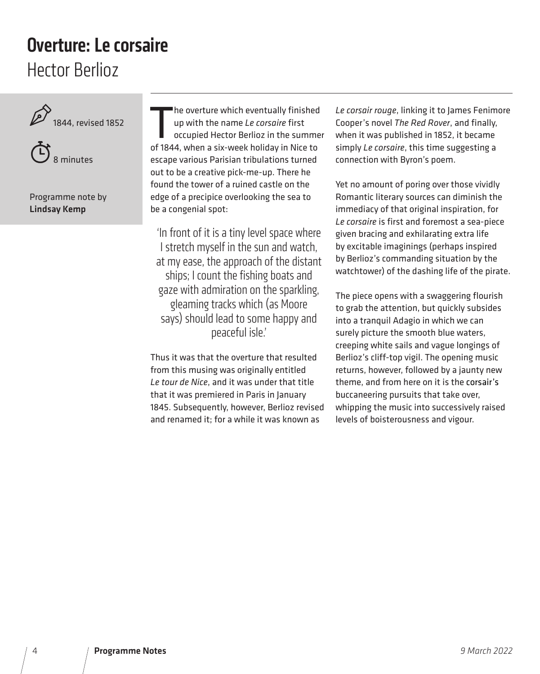### Hector Berlioz Overture: Le corsaire





Programme note by Lindsay Kemp

The overture which eventually finished<br>up with the name Le corsaire first<br>occupied Hector Berlioz in the summe<br>of 1844, when a six-week holiday in Nice to he overture which eventually finished up with the name *Le corsaire* first occupied Hector Berlioz in the summer escape various Parisian tribulations turned out to be a creative pick-me-up. There he found the tower of a ruined castle on the edge of a precipice overlooking the sea to be a congenial spot:

'In front of it is a tiny level space where I stretch myself in the sun and watch, at my ease, the approach of the distant ships; I count the fishing boats and gaze with admiration on the sparkling, gleaming tracks which (as Moore says) should lead to some happy and peaceful isle.'

Thus it was that the overture that resulted from this musing was originally entitled *Le tour de Nice*, and it was under that title that it was premiered in Paris in January 1845. Subsequently, however, Berlioz revised and renamed it; for a while it was known as

*Le corsair rouge*, linking it to James Fenimore Cooper's novel *The Red Rover*, and finally, when it was published in 1852, it became simply *Le corsaire*, this time suggesting a connection with Byron's poem.

Yet no amount of poring over those vividly Romantic literary sources can diminish the immediacy of that original inspiration, for *Le corsaire* is first and foremost a sea-piece given bracing and exhilarating extra life by excitable imaginings (perhaps inspired by Berlioz's commanding situation by the watchtower) of the dashing life of the pirate.

The piece opens with a swaggering flourish to grab the attention, but quickly subsides into a tranquil Adagio in which we can surely picture the smooth blue waters, creeping white sails and vague longings of Berlioz's cliff-top vigil. The opening music returns, however, followed by a jaunty new theme, and from here on it is the corsair's buccaneering pursuits that take over, whipping the music into successively raised levels of boisterousness and vigour.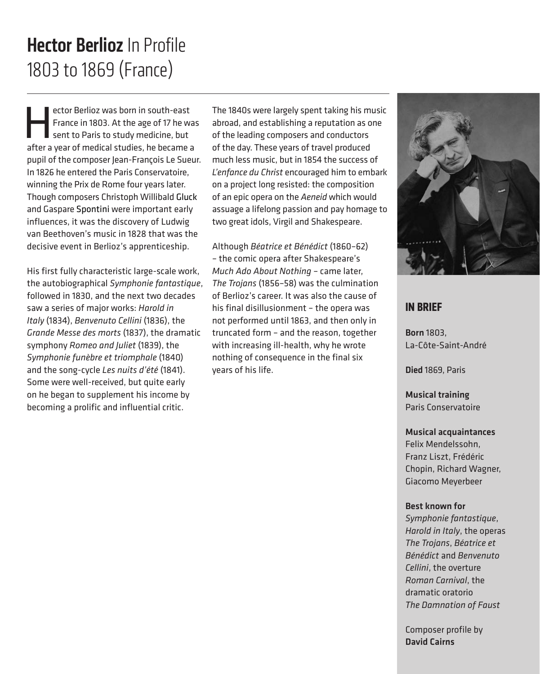### 1803 to 1869 (France) Hector Berlioz In Profile

ector Berlioz was born in south-east<br>France in 1803. At the age of 17 he was<br>sent to Paris to study medicine, but<br>after a year of medical studies, be became as France in 1803. At the age of 17 he was sent to Paris to study medicine, but after a year of medical studies, he became a pupil of the composer Jean-François Le Sueur. In 1826 he entered the Paris Conservatoire, winning the Prix de Rome four years later. Though composers Christoph Willibald Gluck and Gaspare Spontini were important early influences, it was the discovery of Ludwig van Beethoven's music in 1828 that was the decisive event in Berlioz's apprenticeship.

His first fully characteristic large-scale work, the autobiographical *Symphonie fantastique*, followed in 1830, and the next two decades saw a series of major works: *Harold in Italy* (1834), *Benvenuto Cellini* (1836), the *Grande Messe des morts* (1837), the dramatic symphony *Romeo and Juliet* (1839), the *Symphonie funèbre et triomphale* (1840) and the song-cycle *Les nuits d'été* (1841). Some were well-received, but quite early on he began to supplement his income by becoming a prolific and influential critic.

The 1840s were largely spent taking his music abroad, and establishing a reputation as one of the leading composers and conductors of the day. These years of travel produced much less music, but in 1854 the success of *L'enfance du Christ* encouraged him to embark on a project long resisted: the composition of an epic opera on the *Aeneid* which would assuage a lifelong passion and pay homage to two great idols, Virgil and Shakespeare.

Although *Béatrice et Bénédict* (1860–62) – the comic opera after Shakespeare's *Much Ado About Nothing* – came later, *The Trojans* (1856–58) was the culmination of Berlioz's career. It was also the cause of his final disillusionment – the opera was not performed until 1863, and then only in truncated form – and the reason, together with increasing ill-health, why he wrote nothing of consequence in the final six years of his life.



### **IN BRIEF**

Born 1803, La-Côte-Saint-André

Died 1869, Paris

Musical training Paris Conservatoire

#### Musical acquaintances

Felix Mendelssohn, Franz Liszt, Frédéric Chopin, Richard Wagner, Giacomo Meyerbeer

#### Best known for

*Symphonie fantastique*, *Harold in Italy*, the operas *The Trojans*, *Béatrice et Bénédict* and *Benvenuto Cellini*, the overture *Roman Carnival*, the dramatic oratorio *The Damnation of Faust*

Composer profile by David Cairns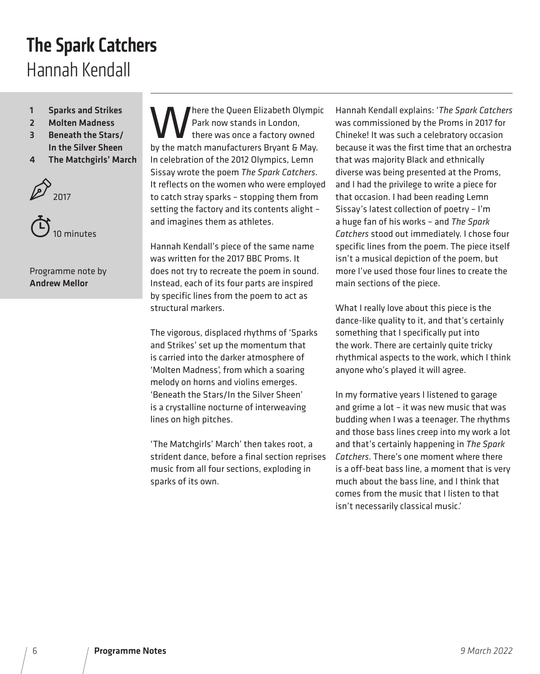### The Spark Catchers Hannah Kendall

- 1 Sparks and Strikes
- 2 Molten Madness
- 3 Beneath the Stars/ In the Silver Sheen
- 4 The Matchgirls' March





Programme note by Andrew Mellor

here the Queen Elizabeth Olympic Park now stands in London, there was once a factory owned by the match manufacturers Bryant & May. In celebration of the 2012 Olympics, Lemn Sissay wrote the poem *The Spark Catchers*. It reflects on the women who were employed to catch stray sparks – stopping them from setting the factory and its contents alight – and imagines them as athletes.

Hannah Kendall's piece of the same name was written for the 2017 BBC Proms. It does not try to recreate the poem in sound. Instead, each of its four parts are inspired by specific lines from the poem to act as structural markers.

The vigorous, displaced rhythms of 'Sparks and Strikes' set up the momentum that is carried into the darker atmosphere of 'Molten Madness', from which a soaring melody on horns and violins emerges. 'Beneath the Stars/In the Silver Sheen' is a crystalline nocturne of interweaving lines on high pitches.

'The Matchgirls' March' then takes root, a strident dance, before a final section reprises music from all four sections, exploding in sparks of its own.

Hannah Kendall explains: '*The Spark Catchers* was commissioned by the Proms in 2017 for Chineke! It was such a celebratory occasion because it was the first time that an orchestra that was majority Black and ethnically diverse was being presented at the Proms, and I had the privilege to write a piece for that occasion. I had been reading Lemn Sissay's latest collection of poetry – I'm a huge fan of his works – and *The Spark Catchers* stood out immediately. I chose four specific lines from the poem. The piece itself isn't a musical depiction of the poem, but more I've used those four lines to create the main sections of the piece.

What I really love about this piece is the dance-like quality to it, and that's certainly something that I specifically put into the work. There are certainly quite tricky rhythmical aspects to the work, which I think anyone who's played it will agree.

In my formative years I listened to garage and grime a lot – it was new music that was budding when I was a teenager. The rhythms and those bass lines creep into my work a lot and that's certainly happening in *The Spark Catchers*. There's one moment where there is a off-beat bass line, a moment that is very much about the bass line, and I think that comes from the music that I listen to that isn't necessarily classical music.'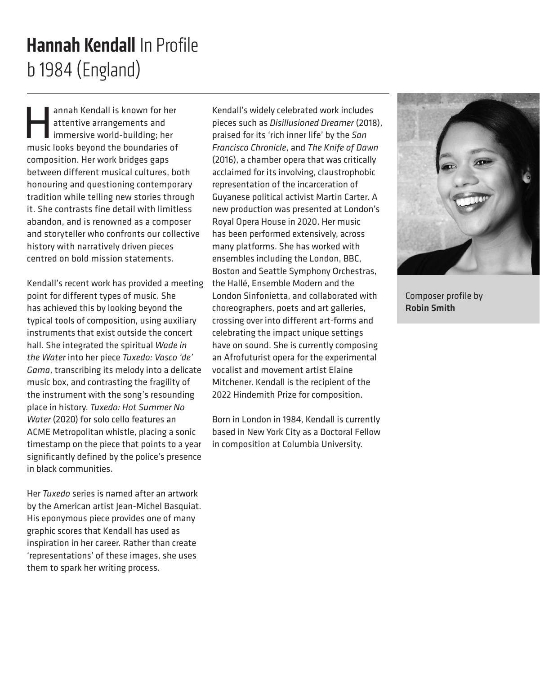## b 1984 (England) Hannah Kendall In Profile

annah Kendall is known for her<br>attentive arrangements and<br>immersive world-building; her<br>music looks beyond the boundaries of attentive arrangements and immersive world-building; her music looks beyond the boundaries of composition. Her work bridges gaps between different musical cultures, both honouring and questioning contemporary tradition while telling new stories through it. She contrasts fine detail with limitless abandon, and is renowned as a composer and storyteller who confronts our collective history with narratively driven pieces centred on bold mission statements.

Kendall's recent work has provided a meeting point for different types of music. She has achieved this by looking beyond the typical tools of composition, using auxiliary instruments that exist outside the concert hall. She integrated the spiritual *Wade in the Water* into her piece *Tuxedo: Vasco 'de' Gama*, transcribing its melody into a delicate music box, and contrasting the fragility of the instrument with the song's resounding place in history. *Tuxedo: Hot Summer No Water* (2020) for solo cello features an ACME Metropolitan whistle, placing a sonic timestamp on the piece that points to a year significantly defined by the police's presence in black communities.

Her *Tuxedo* series is named after an artwork by the American artist Jean-Michel Basquiat. His eponymous piece provides one of many graphic scores that Kendall has used as inspiration in her career. Rather than create 'representations' of these images, she uses them to spark her writing process.

Kendall's widely celebrated work includes pieces such as *Disillusioned Dreamer* (2018), praised for its 'rich inner life' by the *San Francisco Chronicle*, and *The Knife of Dawn*  (2016), a chamber opera that was critically acclaimed for its involving, claustrophobic representation of the incarceration of Guyanese political activist Martin Carter. A new production was presented at London's Royal Opera House in 2020. Her music has been performed extensively, across many platforms. She has worked with ensembles including the London, BBC, Boston and Seattle Symphony Orchestras, the Hallé, Ensemble Modern and the London Sinfonietta, and collaborated with choreographers, poets and art galleries, crossing over into different art-forms and celebrating the impact unique settings have on sound. She is currently composing an Afrofuturist opera for the experimental vocalist and movement artist Elaine Mitchener. Kendall is the recipient of the 2022 Hindemith Prize for composition.

Born in London in 1984, Kendall is currently based in New York City as a Doctoral Fellow in composition at Columbia University.



Composer profile by Robin Smith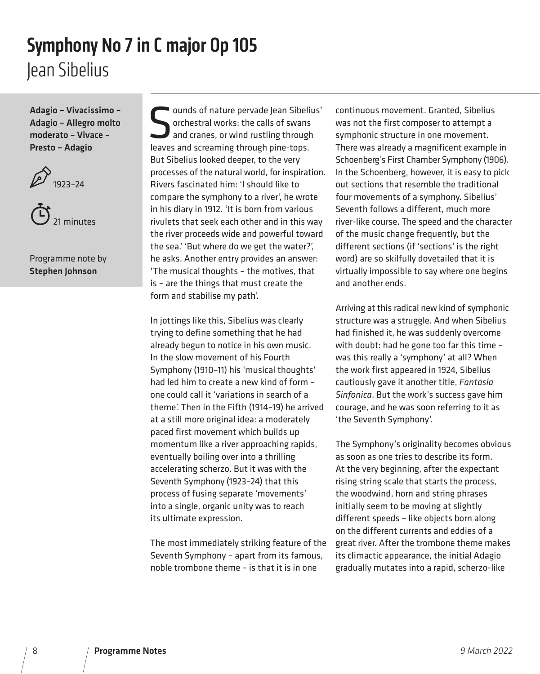### Jean Sibelius Symphony No 7 in C major Op 105

Adagio – Vivacissimo – Adagio – Allegro molto moderato – Vivace – Presto – Adagio



21 minutes

Programme note by Stephen Johnson

ounds of nature pervade Jean Sibelius' orchestral works: the calls of swans and cranes, or wind rustling through leaves and screaming through pine-tops. But Sibelius looked deeper, to the very processes of the natural world, for inspiration. Rivers fascinated him: 'I should like to compare the symphony to a river', he wrote in his diary in 1912. 'It is born from various rivulets that seek each other and in this way the river proceeds wide and powerful toward the sea.' 'But where do we get the water?', he asks. Another entry provides an answer: 'The musical thoughts – the motives, that is – are the things that must create the form and stabilise my path'.

In jottings like this, Sibelius was clearly trying to define something that he had already begun to notice in his own music. In the slow movement of his Fourth Symphony (1910–11) his 'musical thoughts' had led him to create a new kind of form – one could call it 'variations in search of a theme'. Then in the Fifth (1914–19) he arrived at a still more original idea: a moderately paced first movement which builds up momentum like a river approaching rapids, eventually boiling over into a thrilling accelerating scherzo. But it was with the Seventh Symphony (1923–24) that this process of fusing separate 'movements' into a single, organic unity was to reach its ultimate expression.

The most immediately striking feature of the Seventh Symphony – apart from its famous, noble trombone theme – is that it is in one

continuous movement. Granted, Sibelius was not the first composer to attempt a symphonic structure in one movement. There was already a magnificent example in Schoenberg's First Chamber Symphony (1906). In the Schoenberg, however, it is easy to pick out sections that resemble the traditional four movements of a symphony. Sibelius' Seventh follows a different, much more river-like course. The speed and the character of the music change frequently, but the different sections (if 'sections' is the right word) are so skilfully dovetailed that it is virtually impossible to say where one begins and another ends.

Arriving at this radical new kind of symphonic structure was a struggle. And when Sibelius had finished it, he was suddenly overcome with doubt: had he gone too far this time – was this really a 'symphony' at all? When the work first appeared in 1924, Sibelius cautiously gave it another title, *Fantasia Sinfonica*. But the work's success gave him courage, and he was soon referring to it as 'the Seventh Symphony'.

The Symphony's originality becomes obvious as soon as one tries to describe its form. At the very beginning, after the expectant rising string scale that starts the process, the woodwind, horn and string phrases initially seem to be moving at slightly different speeds – like objects born along on the different currents and eddies of a great river. After the trombone theme makes its climactic appearance, the initial Adagio gradually mutates into a rapid, scherzo-like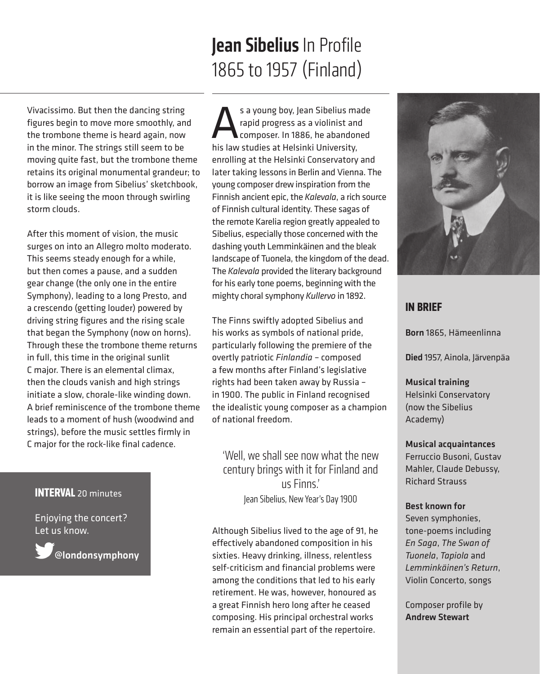### Jean Sibelius In Profile 1865 to 1957 (Finland)

Vivacissimo. But then the dancing string figures begin to move more smoothly, and the trombone theme is heard again, now in the minor. The strings still seem to be moving quite fast, but the trombone theme retains its original monumental grandeur; to borrow an image from Sibelius' sketchbook, it is like seeing the moon through swirling storm clouds.

After this moment of vision, the music surges on into an Allegro molto moderato. This seems steady enough for a while, but then comes a pause, and a sudden gear change (the only one in the entire Symphony), leading to a long Presto, and a crescendo (getting louder) powered by driving string figures and the rising scale that began the Symphony (now on horns). Through these the trombone theme returns in full, this time in the original sunlit C major. There is an elemental climax, then the clouds vanish and high strings initiate a slow, chorale-like winding down. A brief reminiscence of the trombone theme leads to a moment of hush (woodwind and strings), before the music settles firmly in C major for the rock-like final cadence.

### **INTERVAL** 20 minutes

Enjoying the concert? Let us know.

@londonsymphony

s a young boy, Jean Sibelius made<br>rapid progress as a violinist and<br>bis law studies at Helsinki University rapid progress as a violinist and composer. In 1886, he abandoned his law studies at Helsinki University, enrolling at the Helsinki Conservatory and later taking lessons in Berlin and Vienna. The young composer drew inspiration from the Finnish ancient epic, the *Kalevala*, a rich source of Finnish cultural identity. These sagas of the remote Karelia region greatly appealed to Sibelius, especially those concerned with the dashing youth Lemminkäinen and the bleak landscape of Tuonela, the kingdom of the dead. The *Kalevala* provided the literary background for his early tone poems, beginning with the mighty choral symphony *Kullervo* in 1892.

The Finns swiftly adopted Sibelius and his works as symbols of national pride, particularly following the premiere of the overtly patriotic *Finlandia* – composed a few months after Finland's legislative rights had been taken away by Russia – in 1900. The public in Finland recognised the idealistic young composer as a champion of national freedom.

'Well, we shall see now what the new century brings with it for Finland and us Finns.' Jean Sibelius, New Year's Day 1900

Although Sibelius lived to the age of 91, he effectively abandoned composition in his sixties. Heavy drinking, illness, relentless self-criticism and financial problems were among the conditions that led to his early retirement. He was, however, honoured as a great Finnish hero long after he ceased composing. His principal orchestral works remain an essential part of the repertoire.



#### **IN BRIEF**

Born 1865, Hämeenlinna

Died 1957, Ainola, Järvenpäa

Musical training Helsinki Conservatory (now the Sibelius Academy)

Musical acquaintances Ferruccio Busoni, Gustav Mahler, Claude Debussy, Richard Strauss

Best known for Seven symphonies, tone-poems including *En Saga*, *The Swan of Tuonela*, *Tapiola* and *Lemminkäinen's Return*, Violin Concerto, songs

Composer profile by Andrew Stewart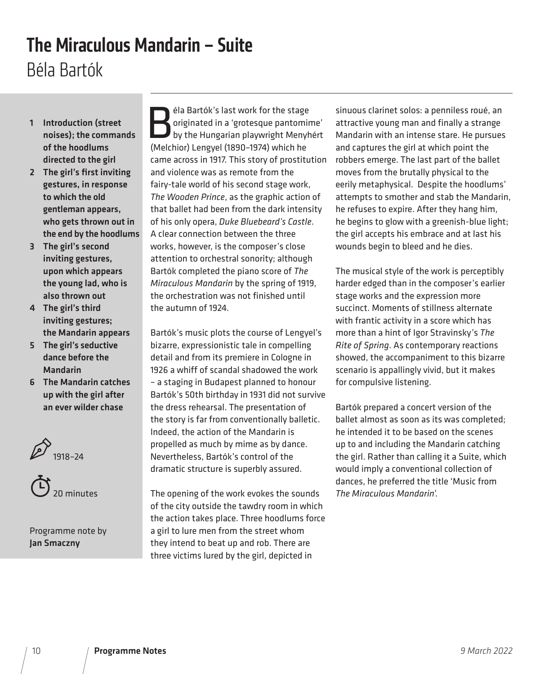### The Miraculous Mandarin – Suite Béla Bartók

- 1 Introduction (street noises); the commands of the hoodlums directed to the girl
- 2 The girl's first inviting gestures, in response to which the old gentleman appears, who gets thrown out in the end by the hoodlums
- 3 The girl's second inviting gestures, upon which appears the young lad, who is also thrown out
- 4 The girl's third inviting gestures; the Mandarin appears
- 5 The girl's seductive dance before the Mandarin
- 6 The Mandarin catches up with the girl after an ever wilder chase





Programme note by Jan Smaczny

Ela Bartók's last work for the stage<br>
originated in a 'grotesque pantomine<br>
by the Hungarian playwright Menyh<br>
(Melchior) Lengyel (1890-1974) which be originated in a 'grotesque pantomime' by the Hungarian playwright Menyhért (Melchior) Lengyel (1890–1974) which he came across in 1917. This story of prostitution and violence was as remote from the fairy-tale world of his second stage work, *The Wooden Prince*, as the graphic action of that ballet had been from the dark intensity of his only opera, *Duke Bluebeard's Castle*. A clear connection between the three works, however, is the composer's close attention to orchestral sonority; although Bartók completed the piano score of *The Miraculous Mandarin* by the spring of 1919, the orchestration was not finished until the autumn of 1924.

Bartók's music plots the course of Lengyel's bizarre, expressionistic tale in compelling detail and from its premiere in Cologne in 1926 a whiff of scandal shadowed the work – a staging in Budapest planned to honour Bartók's 50th birthday in 1931 did not survive the dress rehearsal. The presentation of the story is far from conventionally balletic. Indeed, the action of the Mandarin is propelled as much by mime as by dance. Nevertheless, Bartók's control of the dramatic structure is superbly assured.

The opening of the work evokes the sounds of the city outside the tawdry room in which the action takes place. Three hoodlums force a girl to lure men from the street whom they intend to beat up and rob. There are three victims lured by the girl, depicted in

sinuous clarinet solos: a penniless roué, an attractive young man and finally a strange Mandarin with an intense stare. He pursues and captures the girl at which point the robbers emerge. The last part of the ballet moves from the brutally physical to the eerily metaphysical. Despite the hoodlums' attempts to smother and stab the Mandarin, he refuses to expire. After they hang him, he begins to glow with a greenish-blue light; the girl accepts his embrace and at last his wounds begin to bleed and he dies.

The musical style of the work is perceptibly harder edged than in the composer's earlier stage works and the expression more succinct. Moments of stillness alternate with frantic activity in a score which has more than a hint of Igor Stravinsky's *The Rite of Spring*. As contemporary reactions showed, the accompaniment to this bizarre scenario is appallingly vivid, but it makes for compulsive listening.

Bartók prepared a concert version of the ballet almost as soon as its was completed; he intended it to be based on the scenes up to and including the Mandarin catching the girl. Rather than calling it a Suite, which would imply a conventional collection of dances, he preferred the title 'Music from *The Miraculous Mandarin*'.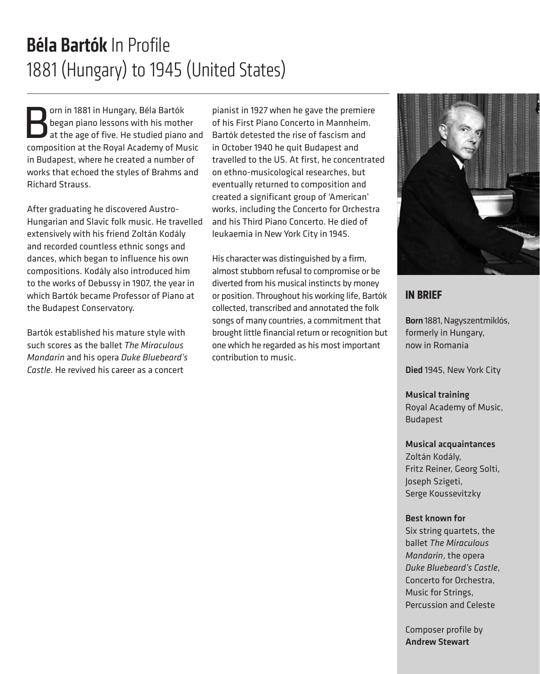### Béla Bartók In Profile 1881 (Hungary) to 1945 (United States)

**Born in 1881 in Hungary, Béla Bartók**<br>Born piano lessons with his mother<br>at the age of five. He studied piano<br>Composition at the Poyal Academy of Mu began piano lessons with his mother at the age of five. He studied piano and composition at the Royal Academy of Music in Budapest, where he created a number of works that echoed the styles of Brahms and Richard Strauss.

After graduating he discovered Austro-Hungarian and Slavic folk music. He travelled extensively with his friend Zoltán Kodály and recorded countless ethnic songs and dances, which began to influence his own compositions. Kodály also introduced him to the works of Debussy in 1907, the year in which Bartók became Professor of Piano at the Budapest Conservatory.

Bartók established his mature style with such scores as the ballet *The Miraculous Mandarin* and his opera *Duke Bluebeard's Castle*. He revived his career as a concert

pianist in 1927 when he gave the premiere of his First Piano Concerto in Mannheim. Bartók detested the rise of fascism and in October 1940 he quit Budapest and travelled to the US. At first, he concentrated on ethno-musicological researches, but eventually returned to composition and created a significant group of 'American' works, including the Concerto for Orchestra and his Third Piano Concerto. He died of leukaemia in New York City in 1945.

His character was distinguished by a firm, almost stubborn refusal to compromise or be diverted from his musical instincts by money or position. Throughout his working life, Bartók collected, transcribed and annotated the folk songs of many countries, a commitment that brought little financial return or recognition but one which he regarded as his most important contribution to music.



#### **IN BRIEF**

Born 1881, Nagyszentmiklós, formerly in Hungary, now in Romania

Died 1945, New York City

Musical training Royal Academy of Music, Budapest

#### Musical acquaintances

Zoltán Kodály, Fritz Reiner, Georg Solti, Joseph Szigeti, Serge Koussevitzky

#### Best known for

Six string quartets, the ballet *The Miraculous Mandarin*, the opera *Duke Bluebeard's Castle*, Concerto for Orchestra, Music for Strings, Percussion and Celeste

Composer profile by Andrew Stewart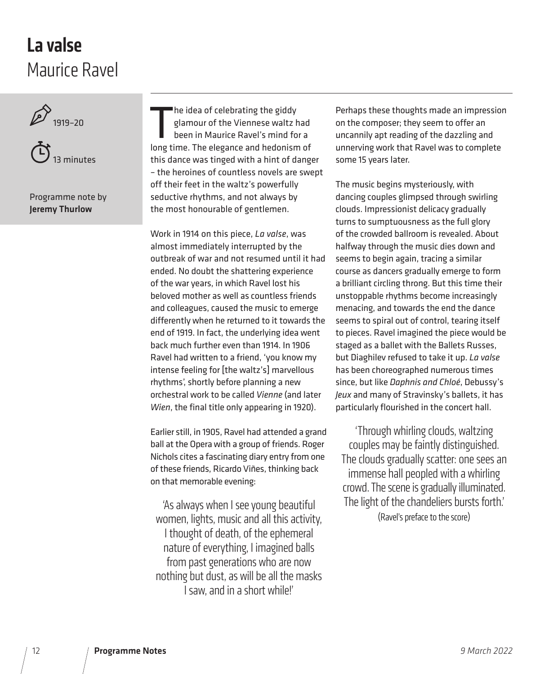### Maurice Ravel La valse





Programme note by Jeremy Thurlow

he idea of celebrating the giddy<br>glamour of the Viennese waltz had<br>been in Maurice Ravel's mind for a<br>long time. The elegance and hedonism of he idea of celebrating the giddy glamour of the Viennese waltz had been in Maurice Ravel's mind for a this dance was tinged with a hint of danger – the heroines of countless novels are swept off their feet in the waltz's powerfully seductive rhythms, and not always by the most honourable of gentlemen.

Work in 1914 on this piece, *La valse*, was almost immediately interrupted by the outbreak of war and not resumed until it had ended. No doubt the shattering experience of the war years, in which Ravel lost his beloved mother as well as countless friends and colleagues, caused the music to emerge differently when he returned to it towards the end of 1919. In fact, the underlying idea went back much further even than 1914. In 1906 Ravel had written to a friend, 'you know my intense feeling for [the waltz's] marvellous rhythms', shortly before planning a new orchestral work to be called *Vienne* (and later *Wien*, the final title only appearing in 1920).

Earlier still, in 1905, Ravel had attended a grand ball at the Opera with a group of friends. Roger Nichols cites a fascinating diary entry from one of these friends, Ricardo Viñes, thinking back on that memorable evening:

'As always when I see young beautiful women, lights, music and all this activity, I thought of death, of the ephemeral nature of everything, I imagined balls from past generations who are now nothing but dust, as will be all the masks I saw, and in a short while!'

Perhaps these thoughts made an impression on the composer; they seem to offer an uncannily apt reading of the dazzling and unnerving work that Ravel was to complete some 15 years later.

The music begins mysteriously, with dancing couples glimpsed through swirling clouds. Impressionist delicacy gradually turns to sumptuousness as the full glory of the crowded ballroom is revealed. About halfway through the music dies down and seems to begin again, tracing a similar course as dancers gradually emerge to form a brilliant circling throng. But this time their unstoppable rhythms become increasingly menacing, and towards the end the dance seems to spiral out of control, tearing itself to pieces. Ravel imagined the piece would be staged as a ballet with the Ballets Russes, but Diaghilev refused to take it up. *La valse*  has been choreographed numerous times since, but like *Daphnis and Chloé*, Debussy's *Jeux* and many of Stravinsky's ballets, it has particularly flourished in the concert hall.

'Through whirling clouds, waltzing couples may be faintly distinguished. The clouds gradually scatter: one sees an immense hall peopled with a whirling crowd. The scene is gradually illuminated. The light of the chandeliers bursts forth.' (Ravel's preface to the score)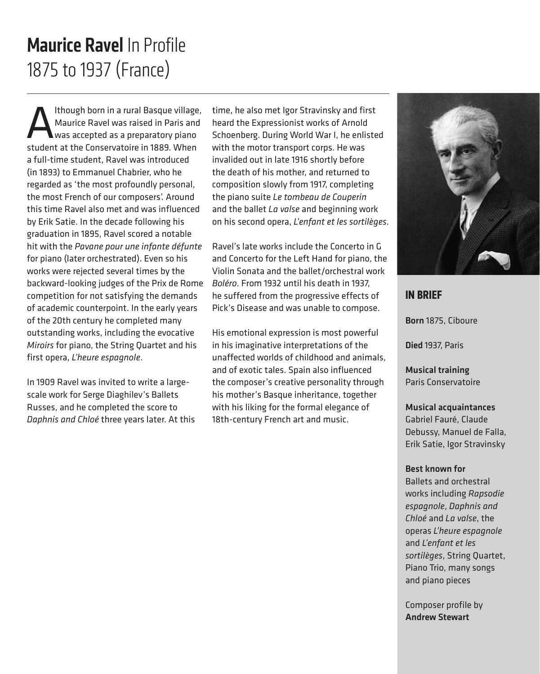### 1875 to 1937 (France) Maurice Ravel In Profile

Ithough born in a rural Basque village,<br>Maurice Ravel was raised in Paris and<br>student at the Conservators in 1889, When Maurice Ravel was raised in Paris and was accepted as a preparatory piano student at the Conservatoire in 1889. When a full-time student, Ravel was introduced (in 1893) to Emmanuel Chabrier, who he regarded as 'the most profoundly personal, the most French of our composers'. Around this time Ravel also met and was influenced by Erik Satie. In the decade following his graduation in 1895, Ravel scored a notable hit with the *Pavane pour une infante défunte*  for piano (later orchestrated). Even so his works were rejected several times by the backward-looking judges of the Prix de Rome competition for not satisfying the demands of academic counterpoint. In the early years of the 20th century he completed many outstanding works, including the evocative *Miroirs* for piano, the String Quartet and his first opera, *L'heure espagnole*.

In 1909 Ravel was invited to write a largescale work for Serge Diaghilev's Ballets Russes, and he completed the score to *Daphnis and Chloé* three years later. At this time, he also met Igor Stravinsky and first heard the Expressionist works of Arnold Schoenberg. During World War I, he enlisted with the motor transport corps. He was invalided out in late 1916 shortly before the death of his mother, and returned to composition slowly from 1917, completing the piano suite *Le tombeau de Couperin*  and the ballet *La valse* and beginning work on his second opera, *L'enfant et les sortilèges*.

Ravel's late works include the Concerto in G and Concerto for the Left Hand for piano, the Violin Sonata and the ballet/orchestral work *Boléro*. From 1932 until his death in 1937, he suffered from the progressive effects of Pick's Disease and was unable to compose.

His emotional expression is most powerful in his imaginative interpretations of the unaffected worlds of childhood and animals, and of exotic tales. Spain also influenced the composer's creative personality through his mother's Basque inheritance, together with his liking for the formal elegance of 18th-century French art and music.



### **IN BRIEF**

Born 1875, Ciboure

Died 1937, Paris

Musical training Paris Conservatoire

Musical acquaintances Gabriel Fauré, Claude Debussy, Manuel de Falla, Erik Satie, Igor Stravinsky

#### Best known for

Ballets and orchestral works including *Rapsodie espagnole*, *Daphnis and Chloé* and *La valse*, the operas *L'heure espagnole* and *L'enfant et les sortilèges*, String Quartet, Piano Trio, many songs and piano pieces

Composer profile by Andrew Stewart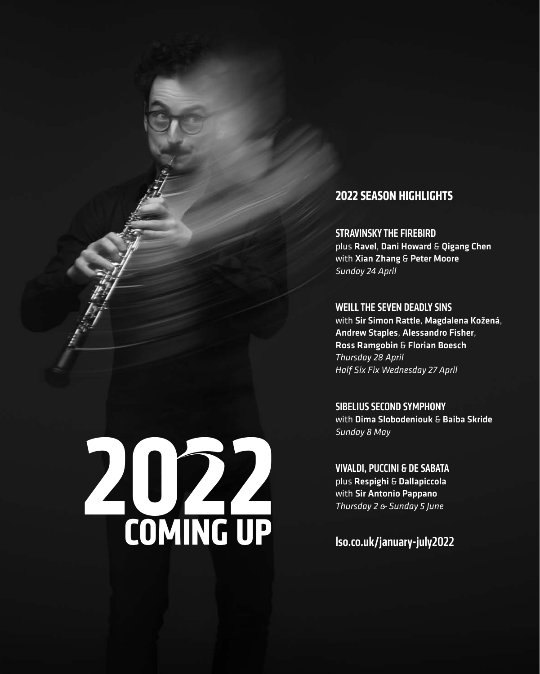### **2022 SEASON HIGHLIGHTS**

STRAVINSKY THE FIREBIRD plus Ravel, Dani Howard & Qigang Chen with Xian Zhang & Peter Moore *Sunday 24 April*

WEILL THE SEVEN DEADLY SINS

with Sir Simon Rattle, Magdalena Kožená, Andrew Staples, Alessandro Fisher, Ross Ramgobin & Florian Boesch *Thursday 28 April Half Six Fix Wednesday 27 April*

SIBELIUS SECOND SYMPHONY with Dima Slobodeniouk & Baiba Skride *Sunday 8 May*

VIVALDI, PUCCINI & DE SABATA plus Respighi & Dallapiccola with Sir Antonio Pappano *Thursday 2 & Sunday 5 June*

lso.co.uk/january-july2022

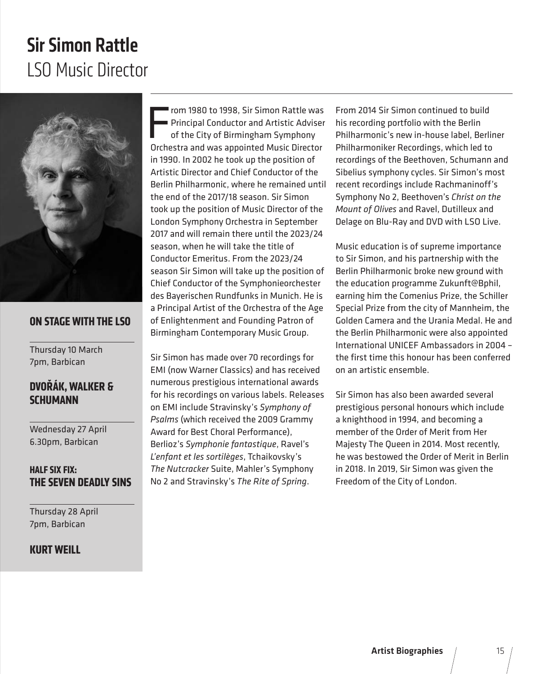### LSO Music Director Sir Simon Rattle



#### **ON STAGE WITH THE LSO**

Thursday 10 March 7pm, Barbican

### **DVOŘÁK, WALKER & SCHUMANN**

Wednesday 27 April 6.30pm, Barbican

### **HALF SIX FIX: THE SEVEN DEADLY SINS**

Thursday 28 April 7pm, Barbican

#### **KURT WEILL**

From 1980 to 1998, Sir Simon Rattle was<br>Principal Conductor and Artistic Adviser<br>of the City of Birmingham Symphony<br>Orchestra and was appointed Music Director rom 1980 to 1998, Sir Simon Rattle was Principal Conductor and Artistic Adviser of the City of Birmingham Symphony in 1990. In 2002 he took up the position of Artistic Director and Chief Conductor of the Berlin Philharmonic, where he remained until the end of the 2017/18 season. Sir Simon took up the position of Music Director of the London Symphony Orchestra in September 2017 and will remain there until the 2023/24 season, when he will take the title of Conductor Emeritus. From the 2023/24 season Sir Simon will take up the position of Chief Conductor of the Symphonieorchester des Bayerischen Rundfunks in Munich. He is a Principal Artist of the Orchestra of the Age of Enlightenment and Founding Patron of Birmingham Contemporary Music Group.

Sir Simon has made over 70 recordings for EMI (now Warner Classics) and has received numerous prestigious international awards for his recordings on various labels. Releases on EMI include Stravinsky's *Symphony of Psalms* (which received the 2009 Grammy Award for Best Choral Performance), Berlioz's *Symphonie fantastique*, Ravel's *L'enfant et les sortilèges*, Tchaikovsky's *The Nutcracker* Suite, Mahler's Symphony No 2 and Stravinsky's *The Rite of Spring*.

From 2014 Sir Simon continued to build his recording portfolio with the Berlin Philharmonic's new in-house label, Berliner Philharmoniker Recordings, which led to recordings of the Beethoven, Schumann and Sibelius symphony cycles. Sir Simon's most recent recordings include Rachmaninoff's Symphony No 2, Beethoven's *Christ on the Mount of Olives* and Ravel, Dutilleux and Delage on Blu-Ray and DVD with LSO Live.

Music education is of supreme importance to Sir Simon, and his partnership with the Berlin Philharmonic broke new ground with the education programme Zukunft@Bphil, earning him the Comenius Prize, the Schiller Special Prize from the city of Mannheim, the Golden Camera and the Urania Medal. He and the Berlin Philharmonic were also appointed International UNICEF Ambassadors in 2004 – the first time this honour has been conferred on an artistic ensemble.

Sir Simon has also been awarded several prestigious personal honours which include a knighthood in 1994, and becoming a member of the Order of Merit from Her Majesty The Queen in 2014. Most recently, he was bestowed the Order of Merit in Berlin in 2018. In 2019, Sir Simon was given the Freedom of the City of London.